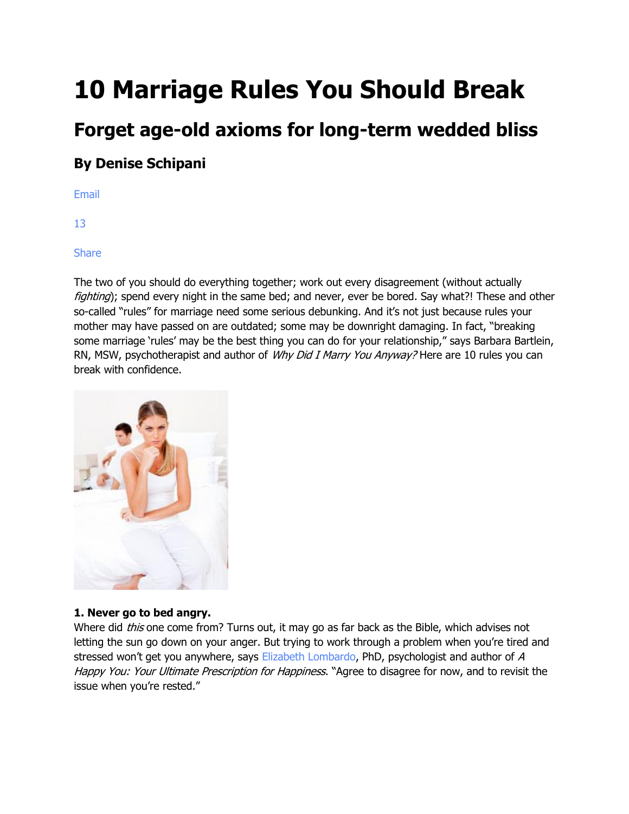# **10 Marriage Rules You Should Break**

## **Forget age-old axioms for long-term wedded bliss**

### **By Denise Schipani**

[Email](javascript:mailPage();)

[13](http://www.womansday.com/sex-relationships/dating-marriage/10-marriage-rules-you-should-break-106237?link=rel&dom=glo&src=syn&con=slide&mag=wdy?cid=glo#comments)

[Share](javascript:fbShare()

The two of you should do everything together; work out every disagreement (without actually fighting); spend every night in the same bed; and never, ever be bored. Say what?! These and other so-called "rules" for marriage need some serious debunking. And it's not just because rules your mother may have passed on are outdated; some may be downright damaging. In fact, "breaking some marriage 'rules' may be the best thing you can do for your relationship," says Barbara Bartlein, RN, MSW, psychotherapist and author of Why Did I Marry You Anyway? Here are 10 rules you can break with confidence.



#### **1. Never go to bed angry.**

Where did *this* one come from? Turns out, it may go as far back as the Bible, which advises not letting the sun go down on your anger. But trying to work through a problem when you're tired and stressed won't get you anywhere, says [Elizabeth Lombardo,](http://www.ahappyyou.com/) PhD, psychologist and author of A Happy You: Your Ultimate Prescription for Happiness. "Agree to disagree for now, and to revisit the issue when you're rested."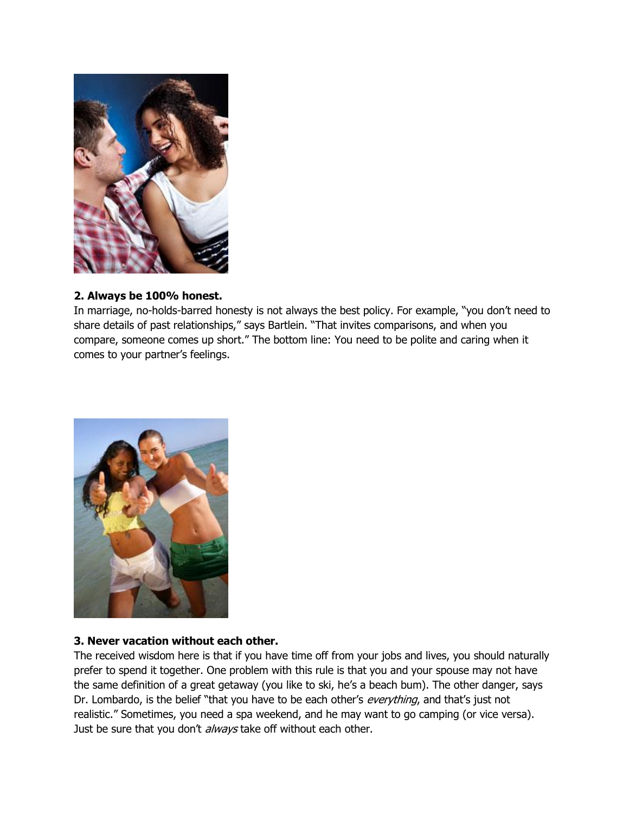

#### **2. Always be 100% honest.**

In marriage, no-holds-barred honesty is not always the best policy. For example, "you don't need to share details of past relationships," says Bartlein. "That invites comparisons, and when you compare, someone comes up short." The bottom line: You need to be polite and caring when it comes to your partner's feelings.



#### **3. Never vacation without each other.**

The received wisdom here is that if you have time off from your jobs and lives, you should naturally prefer to spend it together. One problem with this rule is that you and your spouse may not have the same definition of a great getaway (you like to ski, he's a beach bum). The other danger, says Dr. Lombardo, is the belief "that you have to be each other's *everything*, and that's just not realistic." Sometimes, you need a spa weekend, and he may want to go camping (or vice versa). Just be sure that you don't always take off without each other.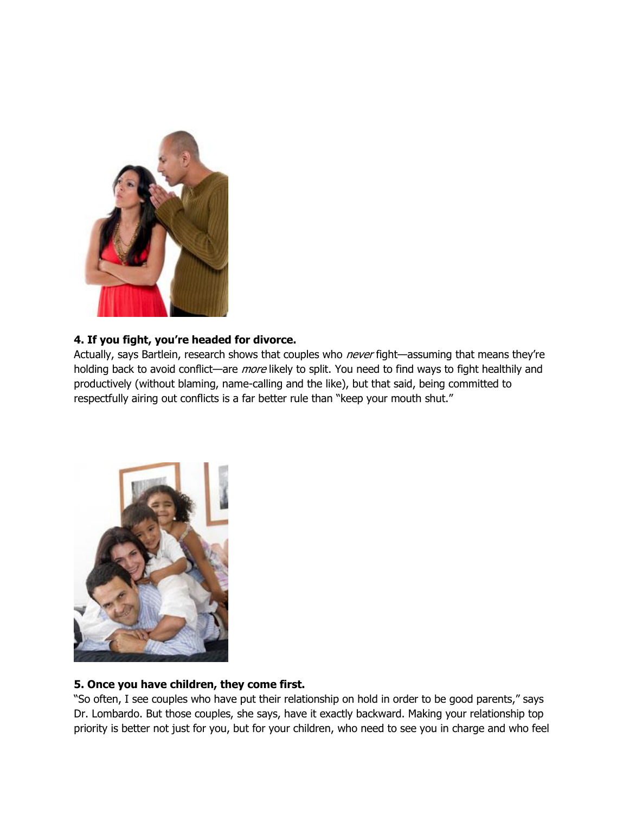

#### **4. If you fight, you're headed for divorce.**

Actually, says Bartlein, research shows that couples who *never* fight—assuming that means they're holding back to avoid conflict—are *more* likely to split. You need to find ways to fight healthily and productively (without blaming, name-calling and the like), but that said, being committed to respectfully airing out conflicts is a far better rule than "keep your mouth shut."



#### **5. Once you have children, they come first.**

"So often, I see couples who have put their relationship on hold in order to be good parents," says Dr. Lombardo. But those couples, she says, have it exactly backward. Making your relationship top priority is better not just for you, but for your children, who need to see you in charge and who feel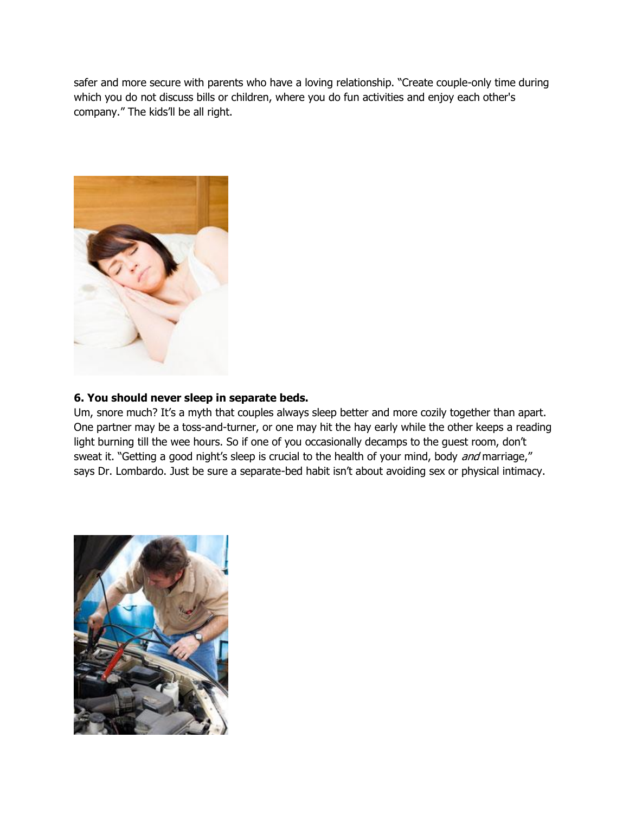safer and more secure with parents who have a loving relationship. "Create couple-only time during which you do not discuss bills or children, where you do fun activities and enjoy each other's company." The kids'll be all right.



#### **6. You should never sleep in separate beds.**

Um, snore much? It's a myth that couples always sleep better and more cozily together than apart. One partner may be a toss-and-turner, or one may hit the hay early while the other keeps a reading light burning till the wee hours. So if one of you occasionally decamps to the guest room, don't sweat it. "Getting a good night's sleep is crucial to the health of your mind, body and marriage," says Dr. Lombardo. Just be sure a separate-bed habit isn't about avoiding sex or physical intimacy.

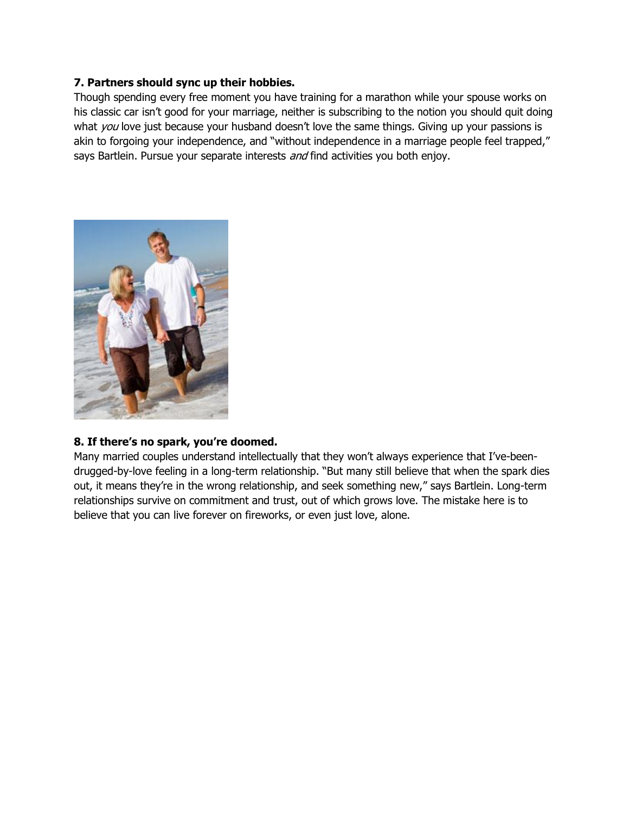#### **7. Partners should sync up their hobbies.**

Though spending every free moment you have training for a marathon while your spouse works on his classic car isn't good for your marriage, neither is subscribing to the notion you should quit doing what  $you$  love just because your husband doesn't love the same things. Giving up your passions is akin to forgoing your independence, and "without independence in a marriage people feel trapped," says Bartlein. Pursue your separate interests and find activities you both enjoy.



#### **8. If there's no spark, you're doomed.**

Many married couples understand intellectually that they won't always experience that I've-beendrugged-by-love feeling in a long-term relationship. "But many still believe that when the spark dies out, it means they're in the wrong relationship, and seek something new," says Bartlein. Long-term relationships survive on commitment and trust, out of which grows love. The mistake here is to believe that you can live forever on fireworks, or even just love, alone.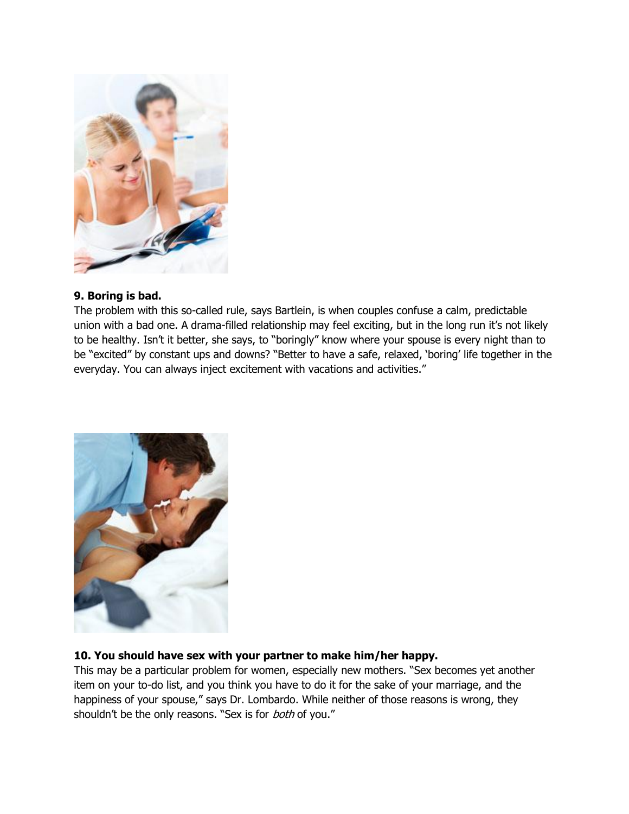

#### **9. Boring is bad.**

The problem with this so-called rule, says Bartlein, is when couples confuse a calm, predictable union with a bad one. A drama-filled relationship may feel exciting, but in the long run it's not likely to be healthy. Isn't it better, she says, to "boringly" know where your spouse is every night than to be "excited" by constant ups and downs? "Better to have a safe, relaxed, 'boring' life together in the everyday. You can always inject excitement with vacations and activities."



#### **10. You should have sex with your partner to make him/her happy.**

This may be a particular problem for women, especially new mothers. "Sex becomes yet another item on your to-do list, and you think you have to do it for the sake of your marriage, and the happiness of your spouse," says Dr. Lombardo. While neither of those reasons is wrong, they shouldn't be the only reasons. "Sex is for both of you."